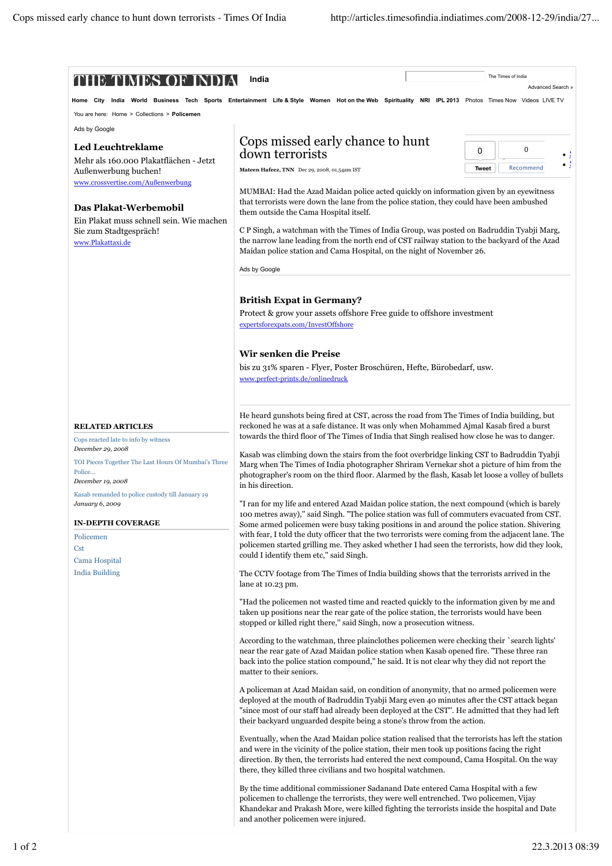| Home City                                                                           | India World Business Tech Sports Entertainment Life & Style Women Hot on the Web Spirituality NRI IPL 2013 Photos Times Now Videos LIVE TV                                                                                                                                                                                                                        |                           |
|-------------------------------------------------------------------------------------|-------------------------------------------------------------------------------------------------------------------------------------------------------------------------------------------------------------------------------------------------------------------------------------------------------------------------------------------------------------------|---------------------------|
| You are here: Home > Collections > Policemen                                        |                                                                                                                                                                                                                                                                                                                                                                   |                           |
| Ads by Google                                                                       |                                                                                                                                                                                                                                                                                                                                                                   |                           |
| <b>Led Leuchtreklame</b>                                                            | Cops missed early chance to hunt<br>down terrorists                                                                                                                                                                                                                                                                                                               | 0<br>0<br>٠               |
| Mehr als 160.000 Plakatflächen - Jetzt<br>Außenwerbung buchen!                      | Mateen Hafeez, TNN Dec 29, 2008, 01.54am IST                                                                                                                                                                                                                                                                                                                      | <b>Tweet</b><br>Recommend |
| www.crossvertise.com/Außenwerbung                                                   |                                                                                                                                                                                                                                                                                                                                                                   |                           |
| Das Plakat-Werbemobil                                                               | MUMBAI: Had the Azad Maidan police acted quickly on information given by an eyewitness<br>that terrorists were down the lane from the police station, they could have been ambushed<br>them outside the Cama Hospital itself.                                                                                                                                     |                           |
| Ein Plakat muss schnell sein. Wie machen<br>Sie zum Stadtgespräch!                  | C P Singh, a watchman with the Times of India Group, was posted on Badruddin Tyabji Marg,                                                                                                                                                                                                                                                                         |                           |
| www.Plakattaxi.de                                                                   | the narrow lane leading from the north end of CST railway station to the backyard of the Azad<br>Maidan police station and Cama Hospital, on the night of November 26.                                                                                                                                                                                            |                           |
|                                                                                     | Ads by Google                                                                                                                                                                                                                                                                                                                                                     |                           |
|                                                                                     | <b>British Expat in Germany?</b>                                                                                                                                                                                                                                                                                                                                  |                           |
|                                                                                     | Protect & grow your assets offshore Free guide to offshore investment                                                                                                                                                                                                                                                                                             |                           |
|                                                                                     | expertsforexpats.com/InvestOffshore                                                                                                                                                                                                                                                                                                                               |                           |
|                                                                                     | Wir senken die Preise                                                                                                                                                                                                                                                                                                                                             |                           |
|                                                                                     | bis zu 31% sparen - Flyer, Poster Broschüren, Hefte, Bürobedarf, usw.                                                                                                                                                                                                                                                                                             |                           |
|                                                                                     | www.perfect-prints.de/onlinedruck                                                                                                                                                                                                                                                                                                                                 |                           |
|                                                                                     | He heard gunshots being fired at CST, across the road from The Times of India building, but                                                                                                                                                                                                                                                                       |                           |
| <b>RELATED ARTICLES</b>                                                             | reckoned he was at a safe distance. It was only when Mohammed Ajmal Kasab fired a burst<br>towards the third floor of The Times of India that Singh realised how close he was to danger.                                                                                                                                                                          |                           |
| Cops reacted late to info by witness<br>December 29, 2008                           |                                                                                                                                                                                                                                                                                                                                                                   |                           |
| TOI Pieces Together The Last Hours Of Mumbai's Three<br>Police<br>December 19, 2008 | Kasab was climbing down the stairs from the foot overbridge linking CST to Badruddin Tyabji<br>Marg when The Times of India photographer Shriram Vernekar shot a picture of him from the<br>photographer's room on the third floor. Alarmed by the flash, Kasab let loose a volley of bullets<br>in his direction.                                                |                           |
| Kasab remanded to police custody till January 19<br>January 6, 2009                 | "I ran for my life and entered Azad Maidan police station, the next compound (which is barely                                                                                                                                                                                                                                                                     |                           |
|                                                                                     | 100 metres away)," said Singh. "The police station was full of commuters evacuated from CST.                                                                                                                                                                                                                                                                      |                           |
| <b>IN-DEPTH COVERAGE</b><br>Policemen                                               | Some armed policemen were busy taking positions in and around the police station. Shivering<br>with fear, I told the duty officer that the two terrorists were coming from the adjacent lane. The                                                                                                                                                                 |                           |
| <b>Cst</b><br>Cama Hospital                                                         | policemen started grilling me. They asked whether I had seen the terrorists, how did they look,<br>could I identify them etc," said Singh.                                                                                                                                                                                                                        |                           |
| <b>India Building</b>                                                               | The CCTV footage from The Times of India building shows that the terrorists arrived in the<br>lane at 10.23 pm.                                                                                                                                                                                                                                                   |                           |
|                                                                                     | "Had the policemen not wasted time and reacted quickly to the information given by me and<br>taken up positions near the rear gate of the police station, the terrorists would have been<br>stopped or killed right there," said Singh, now a prosecution witness.                                                                                                |                           |
|                                                                                     | According to the watchman, three plainclothes policemen were checking their `search lights'<br>near the rear gate of Azad Maidan police station when Kasab opened fire. "These three ran<br>back into the police station compound," he said. It is not clear why they did not report the<br>matter to their seniors.                                              |                           |
|                                                                                     | A policeman at Azad Maidan said, on condition of anonymity, that no armed policemen were<br>deployed at the mouth of Badruddin Tyabji Marg even 40 minutes after the CST attack began<br>"since most of our staff had already been deployed at the CST". He admitted that they had left                                                                           |                           |
|                                                                                     | their backyard unguarded despite being a stone's throw from the action.                                                                                                                                                                                                                                                                                           |                           |
|                                                                                     | Eventually, when the Azad Maidan police station realised that the terrorists has left the station<br>and were in the vicinity of the police station, their men took up positions facing the right<br>direction. By then, the terrorists had entered the next compound, Cama Hospital. On the way<br>there, they killed three civilians and two hospital watchmen. |                           |
|                                                                                     | By the time additional commissioner Sadanand Date entered Cama Hospital with a few<br>policemen to challenge the terrorists, they were well entrenched. Two policemen, Vijay<br>Khandekar and Prakash More, were killed fighting the terrorists inside the hospital and Date                                                                                      |                           |